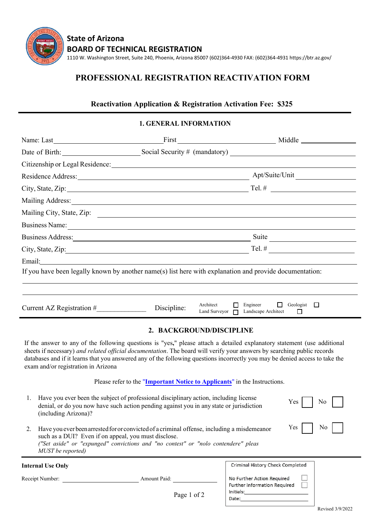

## **PROFESSIONAL REGISTRATION REACTIVATION FORM**

## **Reactivation Application & Registration Activation Fee: \$325**

## **1. GENERAL INFORMATION**

|                                                                                                                                                                                                                                |             | First Middle Middle                                                                                               |  |  |  |  |  |
|--------------------------------------------------------------------------------------------------------------------------------------------------------------------------------------------------------------------------------|-------------|-------------------------------------------------------------------------------------------------------------------|--|--|--|--|--|
|                                                                                                                                                                                                                                |             |                                                                                                                   |  |  |  |  |  |
|                                                                                                                                                                                                                                |             |                                                                                                                   |  |  |  |  |  |
| Residence Address: New York Contract to the Address of the Address of the Address of the Address of the Address of the Address of the Address of the Address of the Address of the Address of the Address of the Address of th |             | Apt/Suite/Unit                                                                                                    |  |  |  |  |  |
|                                                                                                                                                                                                                                |             |                                                                                                                   |  |  |  |  |  |
| Mailing Address: National Address: National Address: National Address: National Address: National Address: National Address: National Address: National Address: National Address: National Address: National Address: Nationa |             |                                                                                                                   |  |  |  |  |  |
| Mailing City, State, Zip: 2008. Experience of the Mailing City, State, Zip: 2008. Experience of the Mail State of the Mail State of the Mail State of the Mail State of the Mail State of the Mail State of the Mail State of  |             |                                                                                                                   |  |  |  |  |  |
| Business Name:                                                                                                                                                                                                                 |             |                                                                                                                   |  |  |  |  |  |
|                                                                                                                                                                                                                                |             | Suite                                                                                                             |  |  |  |  |  |
| City, State, Zip: 2008. Experience of the State of Table 2008. The State of Table 2008. The State of Table 200                                                                                                                 |             | $Tel. \#$                                                                                                         |  |  |  |  |  |
| Email: <u>Communication</u>                                                                                                                                                                                                    |             | If you have been legally known by another name(s) list here with explanation and provide documentation:           |  |  |  |  |  |
| Current AZ Registration $#$                                                                                                                                                                                                    | Discipline: | Architect<br>Engineer<br>П<br>Geologist $\Box$<br>$\Box$<br>Land Surveyor $\Box$<br>Landscape Architect<br>$\Box$ |  |  |  |  |  |
| 2. BACKGROUND/DISCIPLINE                                                                                                                                                                                                       |             |                                                                                                                   |  |  |  |  |  |

If the answer to any of the following questions is "yes**,**" please attach a detailed explanatory statement (use additional sheets if necessary) *and related official documentation*. The board will verify your answers by searching public records databases and if it learns that you answered any of the following questions incorrectly you may be denied access to take the exam and/or registration in Arizona

Please refer to the "**Important Notice to Applicants**" in the Instructions.

- 1. Have you ever been the subject of professional disciplinary action, including license denial, or do you now have such action pending against you in any state or jurisdiction (including Arizona)?
- 2. Have you ever been arrested for or convicted of a criminal offense, including a misdemeanor such as a DUI? Even if on appeal, you must disclose. *("Set aside" or "expunged" convictions and "no contest" or "nolo contendere" pleas MUST be reported)*

| <b>Internal Use Only</b> |              |             | Criminal History Check Completed                           |  |
|--------------------------|--------------|-------------|------------------------------------------------------------|--|
| Receipt Number:          | Amount Paid: |             | No Further Action Required<br>Further Information Required |  |
|                          |              | Page 1 of 2 | Initials:<br>Date:                                         |  |

 $Yes \mid \text{No}$ 

Yes No